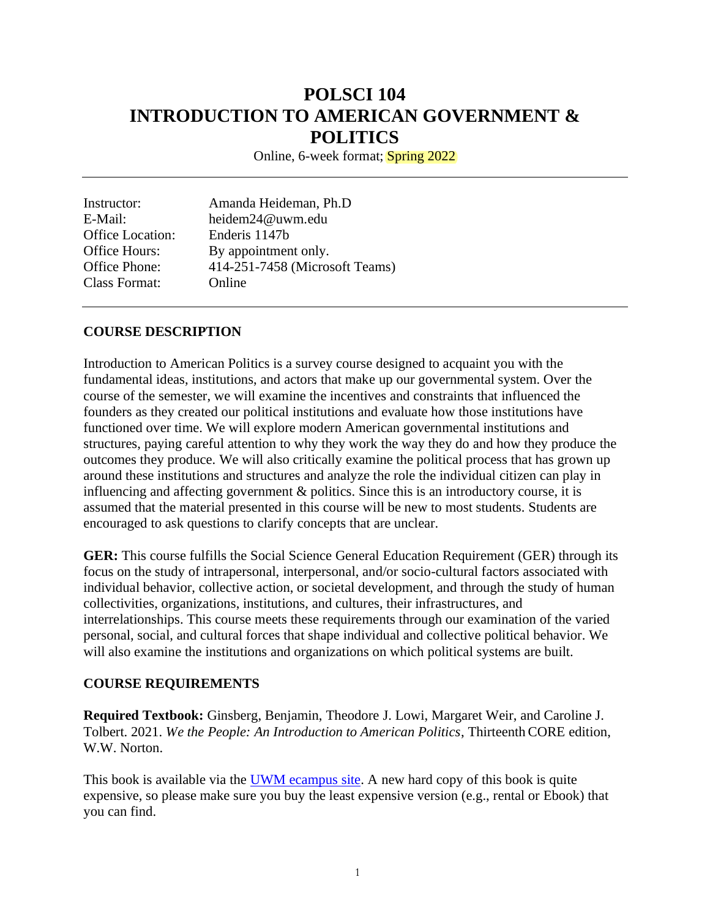# **POLSCI 104 INTRODUCTION TO AMERICAN GOVERNMENT & POLITICS**

Online, 6-week format; **Spring 2022** 

| Instructor:      | Amanda Heideman, Ph.D          |
|------------------|--------------------------------|
| E-Mail:          | heidem24@uwm.edu               |
| Office Location: | Enderis 1147b                  |
| Office Hours:    | By appointment only.           |
| Office Phone:    | 414-251-7458 (Microsoft Teams) |
| Class Format:    | Online                         |

#### **COURSE DESCRIPTION**

Introduction to American Politics is a survey course designed to acquaint you with the fundamental ideas, institutions, and actors that make up our governmental system. Over the course of the semester, we will examine the incentives and constraints that influenced the founders as they created our political institutions and evaluate how those institutions have functioned over time. We will explore modern American governmental institutions and structures, paying careful attention to why they work the way they do and how they produce the outcomes they produce. We will also critically examine the political process that has grown up around these institutions and structures and analyze the role the individual citizen can play in influencing and affecting government & politics. Since this is an introductory course, it is assumed that the material presented in this course will be new to most students. Students are encouraged to ask questions to clarify concepts that are unclear.

**GER:** This course fulfills the Social Science General Education Requirement (GER) through its focus on the study of intrapersonal, interpersonal, and/or socio-cultural factors associated with individual behavior, collective action, or societal development, and through the study of human collectivities, organizations, institutions, and cultures, their infrastructures, and interrelationships. This course meets these requirements through our examination of the varied personal, social, and cultural forces that shape individual and collective political behavior. We will also examine the institutions and organizations on which political systems are built.

#### **COURSE REQUIREMENTS**

**Required Textbook:** Ginsberg, Benjamin, Theodore J. Lowi, Margaret Weir, and Caroline J. Tolbert. 2021. *We the People: An Introduction to American Politics*, Thirteenth CORE edition, W.W. Norton.

This book is available via the [UWM ecampus site.](http://uwm.ecampus.com/) A new hard copy of this book is quite expensive, so please make sure you buy the least expensive version (e.g., rental or Ebook) that you can find.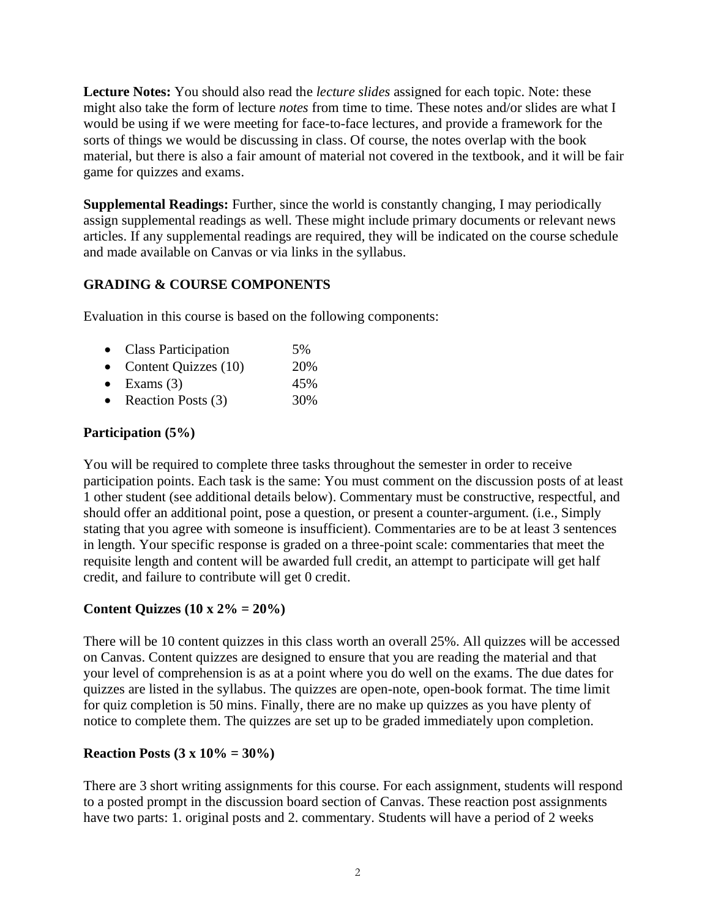**Lecture Notes:** You should also read the *lecture slides* assigned for each topic. Note: these might also take the form of lecture *notes* from time to time. These notes and/or slides are what I would be using if we were meeting for face-to-face lectures, and provide a framework for the sorts of things we would be discussing in class. Of course, the notes overlap with the book material, but there is also a fair amount of material not covered in the textbook, and it will be fair game for quizzes and exams.

**Supplemental Readings:** Further, since the world is constantly changing, I may periodically assign supplemental readings as well. These might include primary documents or relevant news articles. If any supplemental readings are required, they will be indicated on the course schedule and made available on Canvas or via links in the syllabus.

#### **GRADING & COURSE COMPONENTS**

Evaluation in this course is based on the following components:

| • Class Participation    | 5%  |
|--------------------------|-----|
| • Content Quizzes $(10)$ | 20% |
| • Exams $(3)$            | 45% |
|                          |     |

• Reaction Posts  $(3)$  30%

## **Participation (5%)**

You will be required to complete three tasks throughout the semester in order to receive participation points. Each task is the same: You must comment on the discussion posts of at least 1 other student (see additional details below). Commentary must be constructive, respectful, and should offer an additional point, pose a question, or present a counter-argument. (i.e., Simply stating that you agree with someone is insufficient). Commentaries are to be at least 3 sentences in length. Your specific response is graded on a three-point scale: commentaries that meet the requisite length and content will be awarded full credit, an attempt to participate will get half credit, and failure to contribute will get 0 credit.

# **Content Quizzes (10 x 2% = 20%)**

There will be 10 content quizzes in this class worth an overall 25%. All quizzes will be accessed on Canvas. Content quizzes are designed to ensure that you are reading the material and that your level of comprehension is as at a point where you do well on the exams. The due dates for quizzes are listed in the syllabus. The quizzes are open-note, open-book format. The time limit for quiz completion is 50 mins. Finally, there are no make up quizzes as you have plenty of notice to complete them. The quizzes are set up to be graded immediately upon completion.

#### **Reaction Posts (3 x 10% = 30%)**

There are 3 short writing assignments for this course. For each assignment, students will respond to a posted prompt in the discussion board section of Canvas. These reaction post assignments have two parts: 1. original posts and 2. commentary. Students will have a period of 2 weeks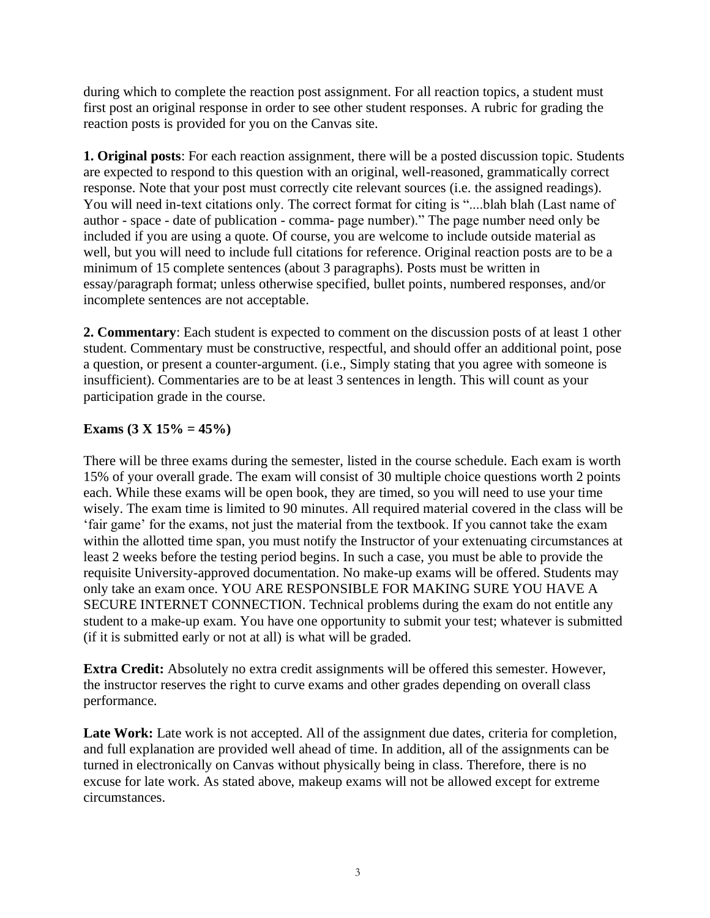during which to complete the reaction post assignment. For all reaction topics, a student must first post an original response in order to see other student responses. A rubric for grading the reaction posts is provided for you on the Canvas site.

**1. Original posts**: For each reaction assignment, there will be a posted discussion topic. Students are expected to respond to this question with an original, well-reasoned, grammatically correct response. Note that your post must correctly cite relevant sources (i.e. the assigned readings). You will need in-text citations only. The correct format for citing is "....blah blah (Last name of author - space - date of publication - comma- page number)." The page number need only be included if you are using a quote. Of course, you are welcome to include outside material as well, but you will need to include full citations for reference. Original reaction posts are to be a minimum of 15 complete sentences (about 3 paragraphs). Posts must be written in essay/paragraph format; unless otherwise specified, bullet points, numbered responses, and/or incomplete sentences are not acceptable.

**2. Commentary**: Each student is expected to comment on the discussion posts of at least 1 other student. Commentary must be constructive, respectful, and should offer an additional point, pose a question, or present a counter-argument. (i.e., Simply stating that you agree with someone is insufficient). Commentaries are to be at least 3 sentences in length. This will count as your participation grade in the course.

#### **Exams (3 X 15% = 45%)**

There will be three exams during the semester, listed in the course schedule. Each exam is worth 15% of your overall grade. The exam will consist of 30 multiple choice questions worth 2 points each. While these exams will be open book, they are timed, so you will need to use your time wisely. The exam time is limited to 90 minutes. All required material covered in the class will be 'fair game' for the exams, not just the material from the textbook. If you cannot take the exam within the allotted time span, you must notify the Instructor of your extenuating circumstances at least 2 weeks before the testing period begins. In such a case, you must be able to provide the requisite University-approved documentation. No make-up exams will be offered. Students may only take an exam once. YOU ARE RESPONSIBLE FOR MAKING SURE YOU HAVE A SECURE INTERNET CONNECTION. Technical problems during the exam do not entitle any student to a make-up exam. You have one opportunity to submit your test; whatever is submitted (if it is submitted early or not at all) is what will be graded.

**Extra Credit:** Absolutely no extra credit assignments will be offered this semester. However, the instructor reserves the right to curve exams and other grades depending on overall class performance.

Late Work: Late work is not accepted. All of the assignment due dates, criteria for completion, and full explanation are provided well ahead of time. In addition, all of the assignments can be turned in electronically on Canvas without physically being in class. Therefore, there is no excuse for late work. As stated above, makeup exams will not be allowed except for extreme circumstances.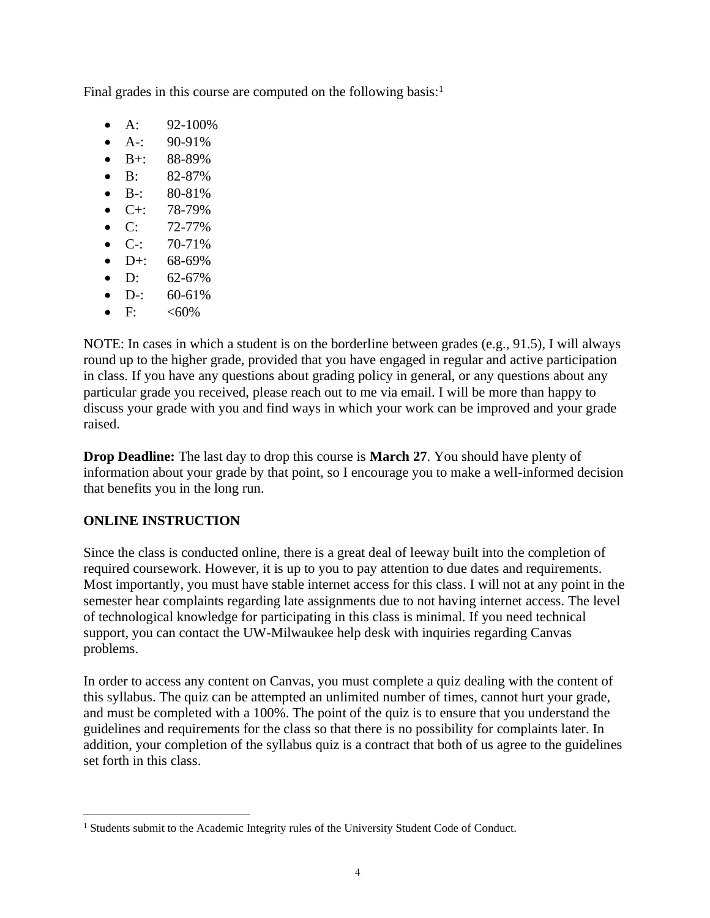Final grades in this course are computed on the following basis: $<sup>1</sup>$ </sup>

- A:  $92-100\%$
- $A-$ : 90-91%
- B+:  $88-89\%$
- B: 82-87%
- B-:  $80-81\%$
- $C+$ : 78-79%
- $C: 72-77\%$
- C-:  $70-71\%$
- $D^{+}$ : 68-69%
- D:  $62-67\%$
- $D-$ : 60-61%
- F:  $<60\%$

NOTE: In cases in which a student is on the borderline between grades (e.g., 91.5), I will always round up to the higher grade, provided that you have engaged in regular and active participation in class. If you have any questions about grading policy in general, or any questions about any particular grade you received, please reach out to me via email. I will be more than happy to discuss your grade with you and find ways in which your work can be improved and your grade raised.

**Drop Deadline:** The last day to drop this course is **March 27**. You should have plenty of information about your grade by that point, so I encourage you to make a well-informed decision that benefits you in the long run.

# **ONLINE INSTRUCTION**

Since the class is conducted online, there is a great deal of leeway built into the completion of required coursework. However, it is up to you to pay attention to due dates and requirements. Most importantly, you must have stable internet access for this class. I will not at any point in the semester hear complaints regarding late assignments due to not having internet access. The level of technological knowledge for participating in this class is minimal. If you need technical support, you can contact the UW-Milwaukee help desk with inquiries regarding Canvas problems.

In order to access any content on Canvas, you must complete a quiz dealing with the content of this syllabus. The quiz can be attempted an unlimited number of times, cannot hurt your grade, and must be completed with a 100%. The point of the quiz is to ensure that you understand the guidelines and requirements for the class so that there is no possibility for complaints later. In addition, your completion of the syllabus quiz is a contract that both of us agree to the guidelines set forth in this class.

<sup>&</sup>lt;sup>1</sup> Students submit to the Academic Integrity rules of the University Student Code of Conduct.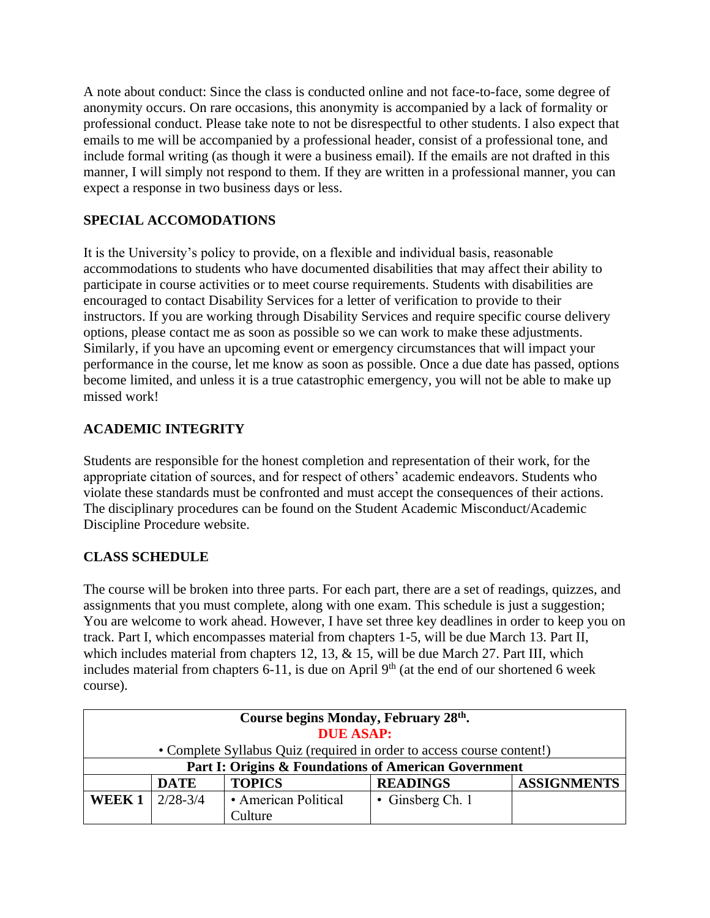A note about conduct: Since the class is conducted online and not face-to-face, some degree of anonymity occurs. On rare occasions, this anonymity is accompanied by a lack of formality or professional conduct. Please take note to not be disrespectful to other students. I also expect that emails to me will be accompanied by a professional header, consist of a professional tone, and include formal writing (as though it were a business email). If the emails are not drafted in this manner, I will simply not respond to them. If they are written in a professional manner, you can expect a response in two business days or less.

# **SPECIAL ACCOMODATIONS**

It is the University's policy to provide, on a flexible and individual basis, reasonable accommodations to students who have documented disabilities that may affect their ability to participate in course activities or to meet course requirements. Students with disabilities are encouraged to contact Disability Services for a letter of verification to provide to their instructors. If you are working through Disability Services and require specific course delivery options, please contact me as soon as possible so we can work to make these adjustments. Similarly, if you have an upcoming event or emergency circumstances that will impact your performance in the course, let me know as soon as possible. Once a due date has passed, options become limited, and unless it is a true catastrophic emergency, you will not be able to make up missed work!

## **ACADEMIC INTEGRITY**

Students are responsible for the honest completion and representation of their work, for the appropriate citation of sources, and for respect of others' academic endeavors. Students who violate these standards must be confronted and must accept the consequences of their actions. The disciplinary procedures can be found on the Student Academic Misconduct/Academic Discipline Procedure website.

#### **CLASS SCHEDULE**

The course will be broken into three parts. For each part, there are a set of readings, quizzes, and assignments that you must complete, along with one exam. This schedule is just a suggestion; You are welcome to work ahead. However, I have set three key deadlines in order to keep you on track. Part I, which encompasses material from chapters 1-5, will be due March 13. Part II, which includes material from chapters 12, 13, & 15, will be due March 27. Part III, which includes material from chapters  $6-11$ , is due on April  $9<sup>th</sup>$  (at the end of our shortened 6 week course).

| Course begins Monday, February 28 <sup>th</sup> .<br><b>DUE ASAP:</b>  |             |                      |                  |                    |  |  |  |
|------------------------------------------------------------------------|-------------|----------------------|------------------|--------------------|--|--|--|
| • Complete Syllabus Quiz (required in order to access course content!) |             |                      |                  |                    |  |  |  |
| Part I: Origins & Foundations of American Government                   |             |                      |                  |                    |  |  |  |
|                                                                        | <b>DATE</b> | <b>TOPICS</b>        | <b>READINGS</b>  | <b>ASSIGNMENTS</b> |  |  |  |
| WEEK $1$                                                               | $2/28-3/4$  | • American Political | • Ginsberg Ch. 1 |                    |  |  |  |
|                                                                        |             | Culture              |                  |                    |  |  |  |